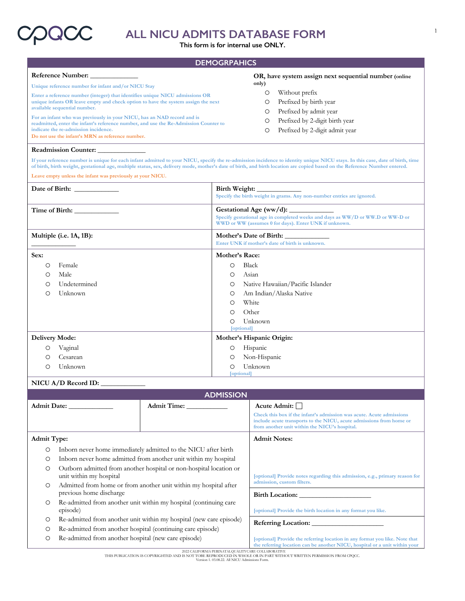

# **ALL NICU ADMITS DATABASE FORM**

**This form is for internal use ONLY.**

### **DEMOGRPAHICS**

| <b>Reference Number:</b>                                                                                                                                                                                                                                                                                                                                                         | OR, have system assign next sequential number (online |  |
|----------------------------------------------------------------------------------------------------------------------------------------------------------------------------------------------------------------------------------------------------------------------------------------------------------------------------------------------------------------------------------|-------------------------------------------------------|--|
| Unique reference number for infant and/or NICU Stay                                                                                                                                                                                                                                                                                                                              | only)                                                 |  |
| Enter a reference number (integer) that identifies unique NICU admissions OR                                                                                                                                                                                                                                                                                                     | Without prefix<br>O                                   |  |
| unique infants OR leave empty and check option to have the system assign the next<br>available sequential number.<br>For an infant who was previously in your NICU, has an NAD record and is<br>readmitted, enter the infant's reference number, and use the Re-Admission Counter to<br>indicate the re-admission incidence.<br>Do not use the infant's MRN as reference number. | Prefixed by birth year                                |  |
|                                                                                                                                                                                                                                                                                                                                                                                  | Prefixed by admit year                                |  |
|                                                                                                                                                                                                                                                                                                                                                                                  | Prefixed by 2-digit birth year<br>O                   |  |
|                                                                                                                                                                                                                                                                                                                                                                                  | Prefixed by 2-digit admit year                        |  |
|                                                                                                                                                                                                                                                                                                                                                                                  |                                                       |  |

#### **Readmission Counter: \_\_\_\_\_\_\_\_\_\_\_\_\_\_**

**If your reference number is unique for each infant admitted to your NICU, specify the re-admission incidence to identity unique NICU stays. In this case, date of birth, time of birth, birth weight, gestational age, multiple status, sex, delivery mode, mother's date of birth, and birth location are copied based on the Reference Number entered.**

**Leave empty unless the infant was previously at your NICU.**

|                       | Date of Birth:<br>Birth Weight:<br>Specify the birth weight in grams. Any non-number entries are ignored. |                                                                                                                                                                           |  |
|-----------------------|-----------------------------------------------------------------------------------------------------------|---------------------------------------------------------------------------------------------------------------------------------------------------------------------------|--|
|                       | Time of Birth:                                                                                            | Gestational Age (ww/d): $\_\_$<br>Specify gestational age in completed weeks and days as WW/D or WW.D or WW-D or<br>WWD or WW (assumes 0 for days). Enter UNK if unknown. |  |
|                       | Multiple (i.e. 1A, 1B):                                                                                   | Mother's Date of Birth:<br>Enter UNK if mother's date of birth is unknown.                                                                                                |  |
| Sex:                  |                                                                                                           | Mother's Race:                                                                                                                                                            |  |
| O                     | Female                                                                                                    | Black<br>$\circ$                                                                                                                                                          |  |
| $\circ$               | Male                                                                                                      | Asian<br>$\circ$                                                                                                                                                          |  |
| O                     | Undetermined                                                                                              | Native Hawaiian/Pacific Islander<br>$\circ$                                                                                                                               |  |
| O                     | Unknown                                                                                                   | Am Indian/Alaska Native<br>O                                                                                                                                              |  |
|                       |                                                                                                           | White<br>$\circ$                                                                                                                                                          |  |
|                       |                                                                                                           | Other<br>$\circ$                                                                                                                                                          |  |
|                       |                                                                                                           | Unknown<br>$\circ$                                                                                                                                                        |  |
|                       | [optional]                                                                                                |                                                                                                                                                                           |  |
| <b>Delivery Mode:</b> |                                                                                                           | Mother's Hispanic Origin:                                                                                                                                                 |  |
| O                     | Vaginal                                                                                                   | Hispanic<br>$\circ$                                                                                                                                                       |  |
| Ο                     | Cesarean                                                                                                  | Non-Hispanic<br>O                                                                                                                                                         |  |
| Ο                     | Unknown                                                                                                   | Unknown<br>O<br>[optional]                                                                                                                                                |  |

### **NICU A/D Record ID: \_\_\_\_\_\_\_\_\_\_\_\_\_**

| <b>ADMISSION</b>                                                                                   |                                                                                             |                                                                     |                                                                                                                                                                                              |
|----------------------------------------------------------------------------------------------------|---------------------------------------------------------------------------------------------|---------------------------------------------------------------------|----------------------------------------------------------------------------------------------------------------------------------------------------------------------------------------------|
|                                                                                                    | Admit Date:                                                                                 | <b>Admit Time:</b>                                                  | Acute Admit: $\Box$                                                                                                                                                                          |
|                                                                                                    |                                                                                             |                                                                     | Check this box if the infant's admission was acute. Acute admissions<br>include acute transports to the NICU, acute admissions from home or<br>from another unit within the NICU's hospital. |
| <b>Admit Type:</b>                                                                                 |                                                                                             |                                                                     | <b>Admit Notes:</b>                                                                                                                                                                          |
| O                                                                                                  |                                                                                             | Inborn never home immediately admitted to the NICU after birth      |                                                                                                                                                                                              |
| O                                                                                                  |                                                                                             | Inborn never home admitted from another unit within my hospital     |                                                                                                                                                                                              |
| Outborn admitted from another hospital or non-hospital location or<br>O<br>unit within my hospital |                                                                                             |                                                                     | [optional] Provide notes regarding this admission, e.g., primary reason for                                                                                                                  |
| O                                                                                                  | Admitted from home or from another unit within my hospital after<br>previous home discharge |                                                                     | admission, custom filters.                                                                                                                                                                   |
|                                                                                                    |                                                                                             |                                                                     | <b>Birth Location:</b>                                                                                                                                                                       |
| O                                                                                                  | episode)                                                                                    | Re-admitted from another unit within my hospital (continuing care   | [optional] Provide the birth location in any format you like.                                                                                                                                |
| O                                                                                                  |                                                                                             | Re-admitted from another unit within my hospital (new care episode) |                                                                                                                                                                                              |
| O                                                                                                  | Re-admitted from another hospital (continuing care episode)                                 |                                                                     |                                                                                                                                                                                              |
| O                                                                                                  | Re-admitted from another hospital (new care episode)                                        |                                                                     | [optional] Provide the referring location in any format you like. Note that<br>the referring location can be another NICU, hospital or a unit within your                                    |
| 2022 CALIFORNIA PERINATALQUALITY CARE COLLABORATIVE                                                |                                                                                             |                                                                     |                                                                                                                                                                                              |

THIS PUBLICATION IS COPYRIGHTED AND IS NOT TOBE REPRODUCED IN WHOLE OR IN PART WITHOUT WRITTEN PERMISSION FROM CPQCC. Version 1. 03.08.22. All NICU Admissions Form.